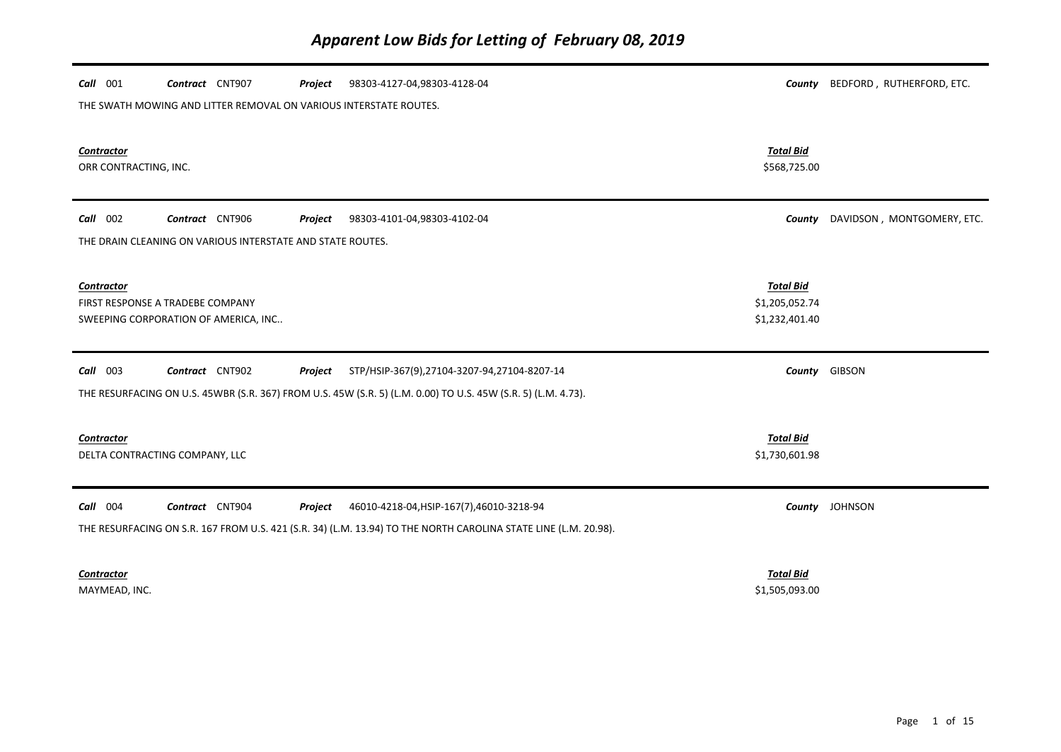| Call 001                                                                               | Contract CNT907                                                   | Project | 98303-4127-04,98303-4128-04                                                                                     |                                                      | County BEDFORD, RUTHERFORD, ETC. |  |  |
|----------------------------------------------------------------------------------------|-------------------------------------------------------------------|---------|-----------------------------------------------------------------------------------------------------------------|------------------------------------------------------|----------------------------------|--|--|
|                                                                                        | THE SWATH MOWING AND LITTER REMOVAL ON VARIOUS INTERSTATE ROUTES. |         |                                                                                                                 |                                                      |                                  |  |  |
| <b>Contractor</b><br>ORR CONTRACTING, INC.                                             |                                                                   |         |                                                                                                                 | <b>Total Bid</b><br>\$568,725.00                     |                                  |  |  |
| Call 002                                                                               | Contract CNT906                                                   | Project | 98303-4101-04,98303-4102-04                                                                                     | County                                               | DAVIDSON, MONTGOMERY, ETC.       |  |  |
| THE DRAIN CLEANING ON VARIOUS INTERSTATE AND STATE ROUTES.                             |                                                                   |         |                                                                                                                 |                                                      |                                  |  |  |
| Contractor<br>FIRST RESPONSE A TRADEBE COMPANY<br>SWEEPING CORPORATION OF AMERICA, INC |                                                                   |         |                                                                                                                 | <b>Total Bid</b><br>\$1,205,052.74<br>\$1,232,401.40 |                                  |  |  |
| $Call$ 003                                                                             | Contract CNT902                                                   | Project | STP/HSIP-367(9),27104-3207-94,27104-8207-14                                                                     |                                                      | County GIBSON                    |  |  |
|                                                                                        |                                                                   |         | THE RESURFACING ON U.S. 45WBR (S.R. 367) FROM U.S. 45W (S.R. 5) (L.M. 0.00) TO U.S. 45W (S.R. 5) (L.M. 4.73).   |                                                      |                                  |  |  |
| Contractor<br>DELTA CONTRACTING COMPANY, LLC                                           |                                                                   |         |                                                                                                                 | <b>Total Bid</b><br>\$1,730,601.98                   |                                  |  |  |
| Call 004                                                                               | Contract CNT904                                                   | Project | 46010-4218-04, HSIP-167(7), 46010-3218-94                                                                       |                                                      | County JOHNSON                   |  |  |
|                                                                                        |                                                                   |         | THE RESURFACING ON S.R. 167 FROM U.S. 421 (S.R. 34) (L.M. 13.94) TO THE NORTH CAROLINA STATE LINE (L.M. 20.98). |                                                      |                                  |  |  |
| Contractor<br>MAYMEAD, INC.                                                            |                                                                   |         |                                                                                                                 | <b>Total Bid</b><br>\$1,505,093.00                   |                                  |  |  |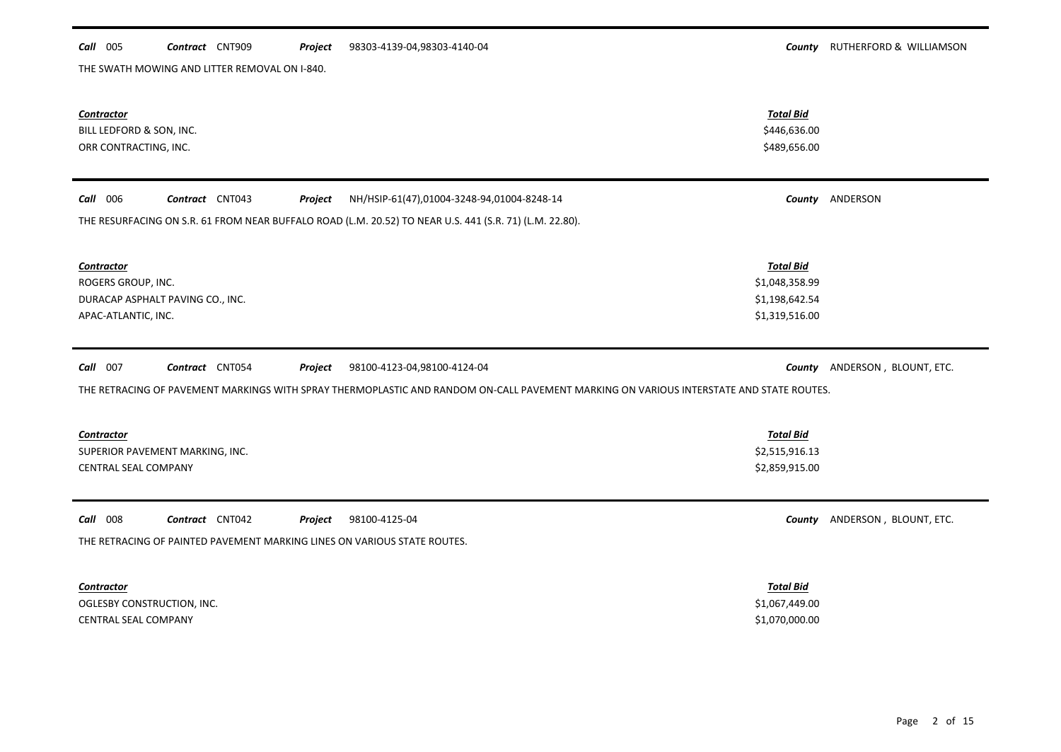### *Call* 005 *Contract* CNT909 *Project County* RUTHERFORD & WILLIAMSON 98303-4139-04,98303-4140-04

THE SWATH MOWING AND LITTER REMOVAL ON I-840.

| <b>Contractor</b><br>BILL LEDFORD & SON, INC.<br>ORR CONTRACTING, INC.                                                                                                                                           | <b>Total Bid</b><br>\$446,636.00<br>\$489,656.00                       |                               |
|------------------------------------------------------------------------------------------------------------------------------------------------------------------------------------------------------------------|------------------------------------------------------------------------|-------------------------------|
| Call 006<br>Contract CNT043<br>NH/HSIP-61(47),01004-3248-94,01004-8248-14<br>Project                                                                                                                             |                                                                        | County ANDERSON               |
| THE RESURFACING ON S.R. 61 FROM NEAR BUFFALO ROAD (L.M. 20.52) TO NEAR U.S. 441 (S.R. 71) (L.M. 22.80).                                                                                                          |                                                                        |                               |
| <b>Contractor</b><br>ROGERS GROUP, INC.<br>DURACAP ASPHALT PAVING CO., INC.<br>APAC-ATLANTIC, INC.                                                                                                               | <b>Total Bid</b><br>\$1,048,358.99<br>\$1,198,642.54<br>\$1,319,516.00 |                               |
| Call 007<br>Contract CNT054<br>98100-4123-04,98100-4124-04<br>Project<br>THE RETRACING OF PAVEMENT MARKINGS WITH SPRAY THERMOPLASTIC AND RANDOM ON-CALL PAVEMENT MARKING ON VARIOUS INTERSTATE AND STATE ROUTES. |                                                                        | County ANDERSON, BLOUNT, ETC. |
|                                                                                                                                                                                                                  |                                                                        |                               |
| <b>Contractor</b><br>SUPERIOR PAVEMENT MARKING, INC.<br><b>CENTRAL SEAL COMPANY</b>                                                                                                                              | <b>Total Bid</b><br>\$2,515,916.13<br>\$2,859,915.00                   |                               |
| Call 008<br>Contract CNT042<br>98100-4125-04<br>Project<br>THE RETRACING OF PAINTED PAVEMENT MARKING LINES ON VARIOUS STATE ROUTES.                                                                              | County                                                                 | ANDERSON, BLOUNT, ETC.        |
| <b>Contractor</b><br>OGLESBY CONSTRUCTION, INC.<br><b>CENTRAL SEAL COMPANY</b>                                                                                                                                   | <b>Total Bid</b><br>\$1,067,449.00<br>\$1,070,000.00                   |                               |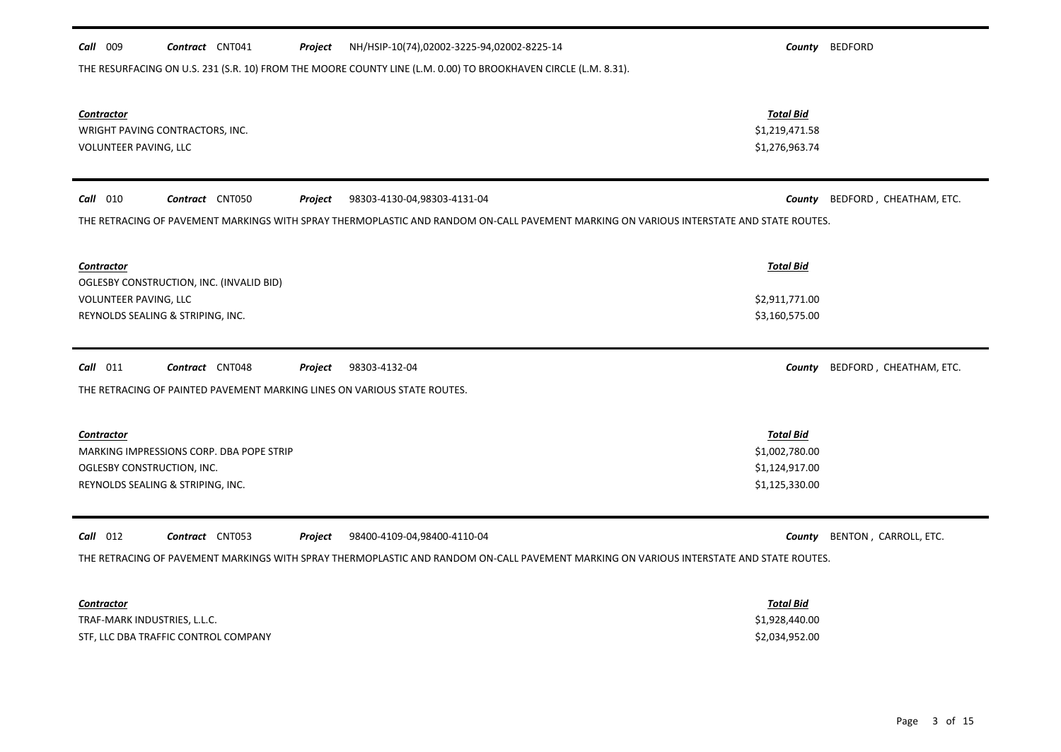| NH/HSIP-10(74),02002-3225-94,02002-8225-14<br>Call 009<br>Contract CNT041<br>Project<br>THE RESURFACING ON U.S. 231 (S.R. 10) FROM THE MOORE COUNTY LINE (L.M. 0.00) TO BROOKHAVEN CIRCLE (L.M. 8.31). |                                    | County BEDFORD          |
|--------------------------------------------------------------------------------------------------------------------------------------------------------------------------------------------------------|------------------------------------|-------------------------|
|                                                                                                                                                                                                        |                                    |                         |
| <b>Contractor</b>                                                                                                                                                                                      | <b>Total Bid</b><br>\$1,219,471.58 |                         |
| WRIGHT PAVING CONTRACTORS, INC.<br>VOLUNTEER PAVING, LLC                                                                                                                                               | \$1,276,963.74                     |                         |
|                                                                                                                                                                                                        |                                    |                         |
| $Call$ 010<br>Contract CNT050<br>98303-4130-04,98303-4131-04<br>Project                                                                                                                                | County                             | BEDFORD, CHEATHAM, ETC. |
| THE RETRACING OF PAVEMENT MARKINGS WITH SPRAY THERMOPLASTIC AND RANDOM ON-CALL PAVEMENT MARKING ON VARIOUS INTERSTATE AND STATE ROUTES.                                                                |                                    |                         |
| Contractor                                                                                                                                                                                             | <b>Total Bid</b>                   |                         |
| OGLESBY CONSTRUCTION, INC. (INVALID BID)                                                                                                                                                               |                                    |                         |
| VOLUNTEER PAVING, LLC<br>REYNOLDS SEALING & STRIPING, INC.                                                                                                                                             | \$2,911,771.00<br>\$3,160,575.00   |                         |
|                                                                                                                                                                                                        |                                    |                         |
| $Call$ 011<br>Contract CNT048<br>Project<br>98303-4132-04                                                                                                                                              | County                             | BEDFORD, CHEATHAM, ETC. |
| THE RETRACING OF PAINTED PAVEMENT MARKING LINES ON VARIOUS STATE ROUTES.                                                                                                                               |                                    |                         |
| <b>Contractor</b>                                                                                                                                                                                      | <b>Total Bid</b>                   |                         |
| MARKING IMPRESSIONS CORP. DBA POPE STRIP                                                                                                                                                               | \$1,002,780.00                     |                         |
| OGLESBY CONSTRUCTION, INC.                                                                                                                                                                             | \$1,124,917.00                     |                         |
| REYNOLDS SEALING & STRIPING, INC.                                                                                                                                                                      | \$1,125,330.00                     |                         |
| $Call$ 012<br>Contract CNT053<br>98400-4109-04,98400-4110-04<br>Project                                                                                                                                | County                             | BENTON, CARROLL, ETC.   |
| THE RETRACING OF PAVEMENT MARKINGS WITH SPRAY THERMOPLASTIC AND RANDOM ON-CALL PAVEMENT MARKING ON VARIOUS INTERSTATE AND STATE ROUTES.                                                                |                                    |                         |
|                                                                                                                                                                                                        |                                    |                         |
| Contractor                                                                                                                                                                                             | <b>Total Bid</b>                   |                         |
| TRAF-MARK INDUSTRIES, L.L.C.                                                                                                                                                                           | \$1,928,440.00                     |                         |
| STF, LLC DBA TRAFFIC CONTROL COMPANY                                                                                                                                                                   | \$2,034,952.00                     |                         |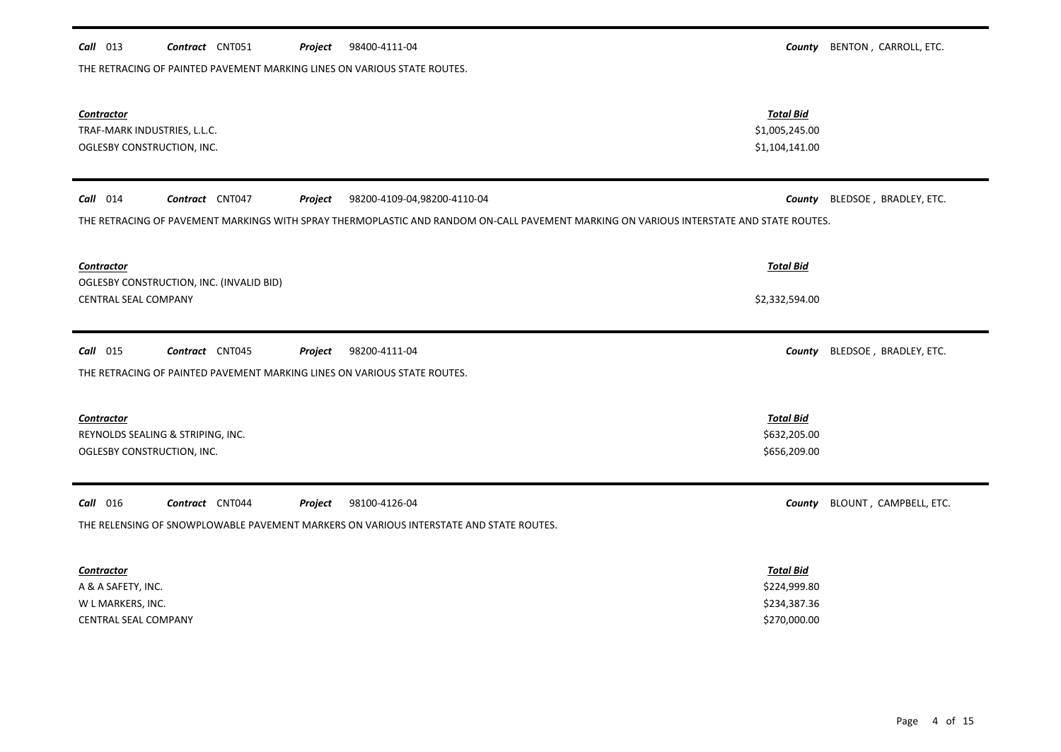| Contractor<br>TRAF-MARK INDUSTRIES, L.L.C.<br>OGLESBY CONSTRUCTION, INC.                                                                                                                                           | <b>Total Bid</b><br>\$1,005,245.00<br>\$1,104,141.00             |                        |
|--------------------------------------------------------------------------------------------------------------------------------------------------------------------------------------------------------------------|------------------------------------------------------------------|------------------------|
| $Call$ 014<br>Contract CNT047<br>98200-4109-04,98200-4110-04<br>Project<br>THE RETRACING OF PAVEMENT MARKINGS WITH SPRAY THERMOPLASTIC AND RANDOM ON-CALL PAVEMENT MARKING ON VARIOUS INTERSTATE AND STATE ROUTES. | County                                                           | BLEDSOE, BRADLEY, ETC. |
| <b>Contractor</b><br>OGLESBY CONSTRUCTION, INC. (INVALID BID)                                                                                                                                                      | <b>Total Bid</b>                                                 |                        |
| <b>CENTRAL SEAL COMPANY</b>                                                                                                                                                                                        | \$2,332,594.00                                                   |                        |
| $Call$ 015<br>Contract CNT045<br>98200-4111-04<br>Project<br>THE RETRACING OF PAINTED PAVEMENT MARKING LINES ON VARIOUS STATE ROUTES.                                                                              | County                                                           | BLEDSOE, BRADLEY, ETC. |
| <b>Contractor</b><br>REYNOLDS SEALING & STRIPING, INC.<br>OGLESBY CONSTRUCTION, INC.                                                                                                                               | <b>Total Bid</b><br>\$632,205.00<br>\$656,209.00                 |                        |
| Contract CNT044<br>98100-4126-04<br>$Call$ 016<br>Project<br>THE RELENSING OF SNOWPLOWABLE PAVEMENT MARKERS ON VARIOUS INTERSTATE AND STATE ROUTES.                                                                | County                                                           | BLOUNT, CAMPBELL, ETC. |
| Contractor<br>A & A SAFETY, INC.<br>W L MARKERS, INC.<br>CENTRAL SEAL COMPANY                                                                                                                                      | <b>Total Bid</b><br>\$224,999.80<br>\$234,387.36<br>\$270,000.00 |                        |

### *Call* 013 *Contract* CNT051 *Project County* BENTON , CARROLL, ETC. Project 98400-4111-04

THE RETRACING OF PAINTED PAVEMENT MARKING LINES ON VARIOUS STATE ROUTES.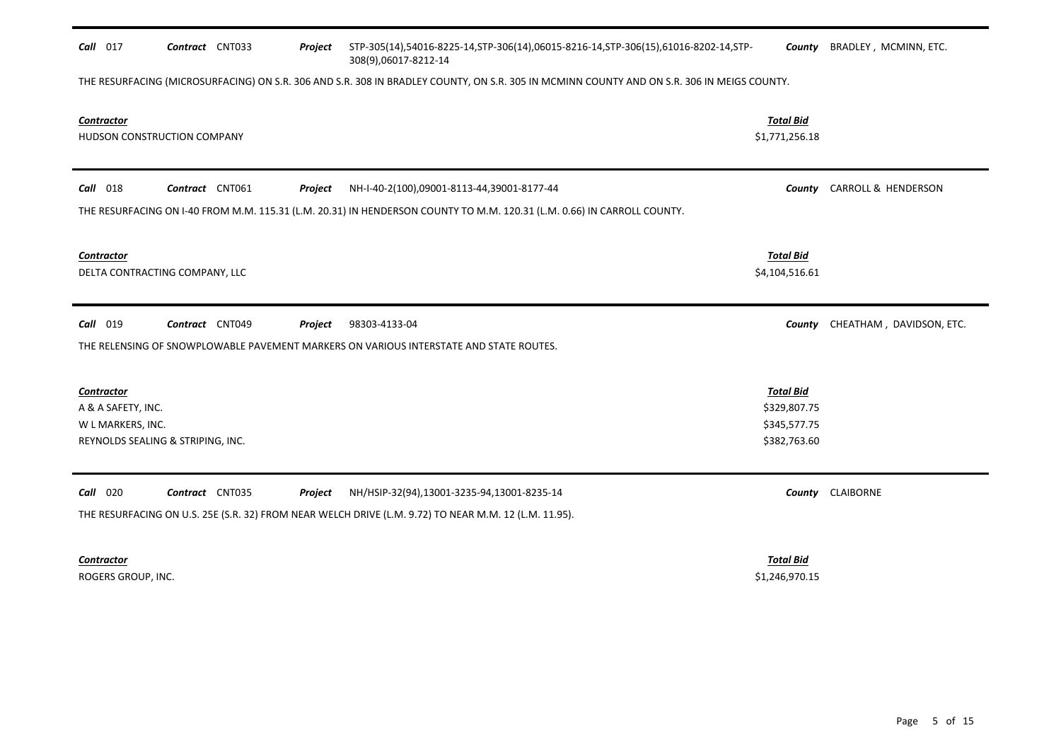| Call 017                                                     | Contract CNT033                   | Project | STP-305(14),54016-8225-14,STP-306(14),06015-8216-14,STP-306(15),61016-8202-14,STP-<br>308(9),06017-8212-14                                          | County                                                           | BRADLEY, MCMINN, ETC.           |
|--------------------------------------------------------------|-----------------------------------|---------|-----------------------------------------------------------------------------------------------------------------------------------------------------|------------------------------------------------------------------|---------------------------------|
|                                                              |                                   |         | THE RESURFACING (MICROSURFACING) ON S.R. 306 AND S.R. 308 IN BRADLEY COUNTY, ON S.R. 305 IN MCMINN COUNTY AND ON S.R. 306 IN MEIGS COUNTY.          |                                                                  |                                 |
| <b>Contractor</b>                                            | HUDSON CONSTRUCTION COMPANY       |         |                                                                                                                                                     | <b>Total Bid</b><br>\$1,771,256.18                               |                                 |
| <b>Call</b> 018                                              | Contract CNT061                   | Project | NH-I-40-2(100),09001-8113-44,39001-8177-44                                                                                                          | County                                                           | CARROLL & HENDERSON             |
|                                                              |                                   |         | THE RESURFACING ON I-40 FROM M.M. 115.31 (L.M. 20.31) IN HENDERSON COUNTY TO M.M. 120.31 (L.M. 0.66) IN CARROLL COUNTY.                             |                                                                  |                                 |
| Contractor                                                   | DELTA CONTRACTING COMPANY, LLC    |         |                                                                                                                                                     | <b>Total Bid</b><br>\$4,104,516.61                               |                                 |
| <b>Call</b> 019                                              | Contract CNT049                   | Project | 98303-4133-04                                                                                                                                       |                                                                  | County CHEATHAM, DAVIDSON, ETC. |
|                                                              |                                   |         | THE RELENSING OF SNOWPLOWABLE PAVEMENT MARKERS ON VARIOUS INTERSTATE AND STATE ROUTES.                                                              |                                                                  |                                 |
| <b>Contractor</b><br>A & A SAFETY, INC.<br>W L MARKERS, INC. | REYNOLDS SEALING & STRIPING, INC. |         |                                                                                                                                                     | <b>Total Bid</b><br>\$329,807.75<br>\$345,577.75<br>\$382,763.60 |                                 |
| Call 020                                                     | Contract CNT035                   | Project | NH/HSIP-32(94),13001-3235-94,13001-8235-14<br>THE RESURFACING ON U.S. 25E (S.R. 32) FROM NEAR WELCH DRIVE (L.M. 9.72) TO NEAR M.M. 12 (L.M. 11.95). |                                                                  | County CLAIBORNE                |
| Contractor                                                   |                                   |         |                                                                                                                                                     | <b>Total Bid</b>                                                 |                                 |
| ROGERS GROUP, INC.                                           |                                   |         |                                                                                                                                                     | \$1,246,970.15                                                   |                                 |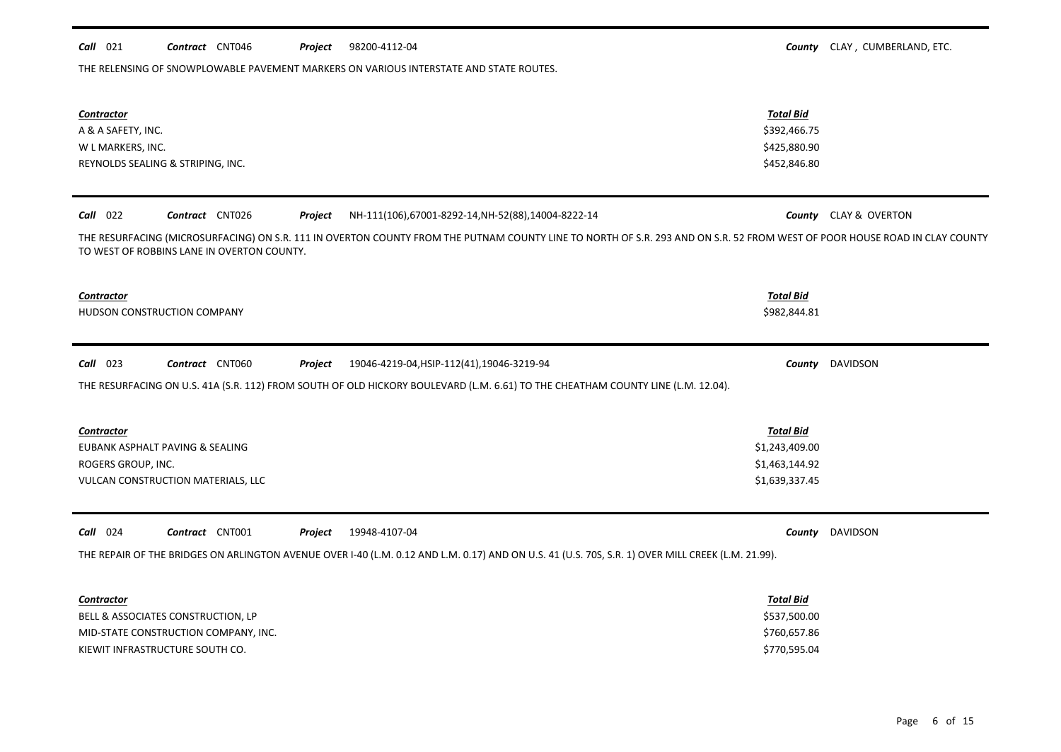### **Call** 021 **Contract** CNT046 **Project** 98200-4112-04 **COUNTY CLAY , CUMBERLAND, ETC.** Project 98200-4112-04

THE RELENSING OF SNOWPLOWABLE PAVEMENT MARKERS ON VARIOUS INTERSTATE AND STATE ROUTES.

| <b>Contractor</b><br>A & A SAFETY, INC.<br>W L MARKERS, INC.<br>REYNOLDS SEALING & STRIPING, INC.                                                                                                                                                                                                                       | <b>Total Bid</b><br>\$392,466.75<br>\$425,880.90<br>\$452,846.80       |                        |
|-------------------------------------------------------------------------------------------------------------------------------------------------------------------------------------------------------------------------------------------------------------------------------------------------------------------------|------------------------------------------------------------------------|------------------------|
| Call 022<br>Contract CNT026<br>NH-111(106),67001-8292-14,NH-52(88),14004-8222-14<br>Project<br>THE RESURFACING (MICROSURFACING) ON S.R. 111 IN OVERTON COUNTY FROM THE PUTNAM COUNTY LINE TO NORTH OF S.R. 293 AND ON S.R. 52 FROM WEST OF POOR HOUSE ROAD IN CLAY COUNTY<br>TO WEST OF ROBBINS LANE IN OVERTON COUNTY. |                                                                        | County CLAY & OVERTON  |
| <b>Contractor</b><br>HUDSON CONSTRUCTION COMPANY                                                                                                                                                                                                                                                                        | <b>Total Bid</b><br>\$982,844.81                                       |                        |
| $Call$ 023<br>Contract CNT060<br>Project<br>19046-4219-04, HSIP-112(41), 19046-3219-94<br>THE RESURFACING ON U.S. 41A (S.R. 112) FROM SOUTH OF OLD HICKORY BOULEVARD (L.M. 6.61) TO THE CHEATHAM COUNTY LINE (L.M. 12.04).                                                                                              |                                                                        | <b>County</b> DAVIDSON |
| <b>Contractor</b><br>EUBANK ASPHALT PAVING & SEALING<br>ROGERS GROUP, INC.<br>VULCAN CONSTRUCTION MATERIALS, LLC                                                                                                                                                                                                        | <b>Total Bid</b><br>\$1,243,409.00<br>\$1,463,144.92<br>\$1,639,337.45 |                        |
| Call 024<br>Contract CNT001<br>Project<br>19948-4107-04<br>THE REPAIR OF THE BRIDGES ON ARLINGTON AVENUE OVER I-40 (L.M. 0.12 AND L.M. 0.17) AND ON U.S. 41 (U.S. 70S, S.R. 1) OVER MILL CREEK (L.M. 21.99).                                                                                                            |                                                                        | County DAVIDSON        |
| <b>Contractor</b><br>BELL & ASSOCIATES CONSTRUCTION, LP<br>MID-STATE CONSTRUCTION COMPANY, INC.<br>KIEWIT INFRASTRUCTURE SOUTH CO.                                                                                                                                                                                      | <b>Total Bid</b><br>\$537,500.00<br>\$760,657.86<br>\$770,595.04       |                        |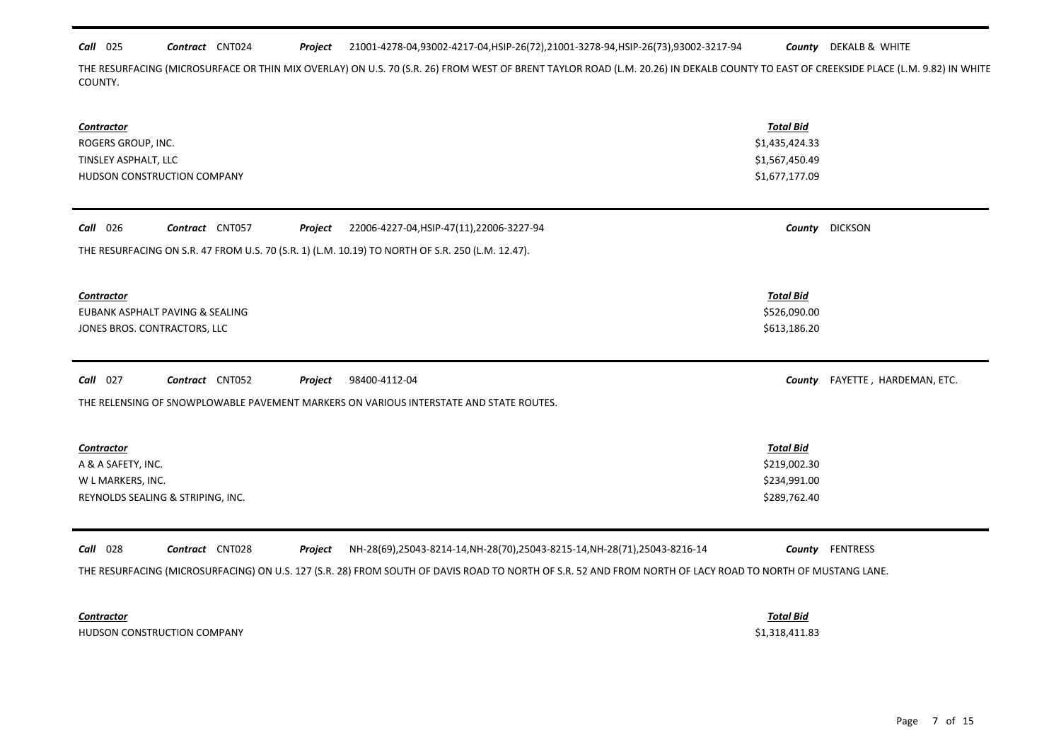*Call* 025 *Contract* CNT024 *Project County* DEKALB & WHITE 21001-4278-04,93002-4217-04,HSIP-26(72),21001-3278-94,HSIP-26(73),93002-3217-94

THE RESURFACING (MICROSURFACE OR THIN MIX OVERLAY) ON U.S. 70 (S.R. 26) FROM WEST OF BRENT TAYLOR ROAD (L.M. 20.26) IN DEKALB COUNTY TO EAST OF CREEKSIDE PLACE (L.M. 9.82) IN WHITE COUNTY.

| Contractor<br>ROGERS GROUP, INC.<br>TINSLEY ASPHALT, LLC<br>HUDSON CONSTRUCTION COMPANY                                                                                                 | <b>Total Bid</b><br>\$1,435,424.33<br>\$1,567,450.49<br>\$1,677,177.09 |                         |
|-----------------------------------------------------------------------------------------------------------------------------------------------------------------------------------------|------------------------------------------------------------------------|-------------------------|
| Call 026<br>Contract CNT057<br>Project<br>22006-4227-04, HSIP-47(11), 22006-3227-94<br>THE RESURFACING ON S.R. 47 FROM U.S. 70 (S.R. 1) (L.M. 10.19) TO NORTH OF S.R. 250 (L.M. 12.47). |                                                                        | County DICKSON          |
| <b>Contractor</b><br>EUBANK ASPHALT PAVING & SEALING<br>JONES BROS. CONTRACTORS, LLC                                                                                                    | <b>Total Bid</b><br>\$526,090.00<br>\$613,186.20                       |                         |
| <b>Call</b> 027<br>Contract CNT052<br>98400-4112-04<br>Project<br>THE RELENSING OF SNOWPLOWABLE PAVEMENT MARKERS ON VARIOUS INTERSTATE AND STATE ROUTES.                                | County                                                                 | FAYETTE, HARDEMAN, ETC. |
| <b>Contractor</b><br>A & A SAFETY, INC.<br>W L MARKERS, INC.<br>REYNOLDS SEALING & STRIPING, INC.                                                                                       | <b>Total Bid</b><br>\$219,002.30<br>\$234,991.00<br>\$289,762.40       |                         |
|                                                                                                                                                                                         |                                                                        |                         |

HUDSON CONSTRUCTION COMPANY **\$1,318,411.83** \$1,318,411.83

*Contractor Total Bid*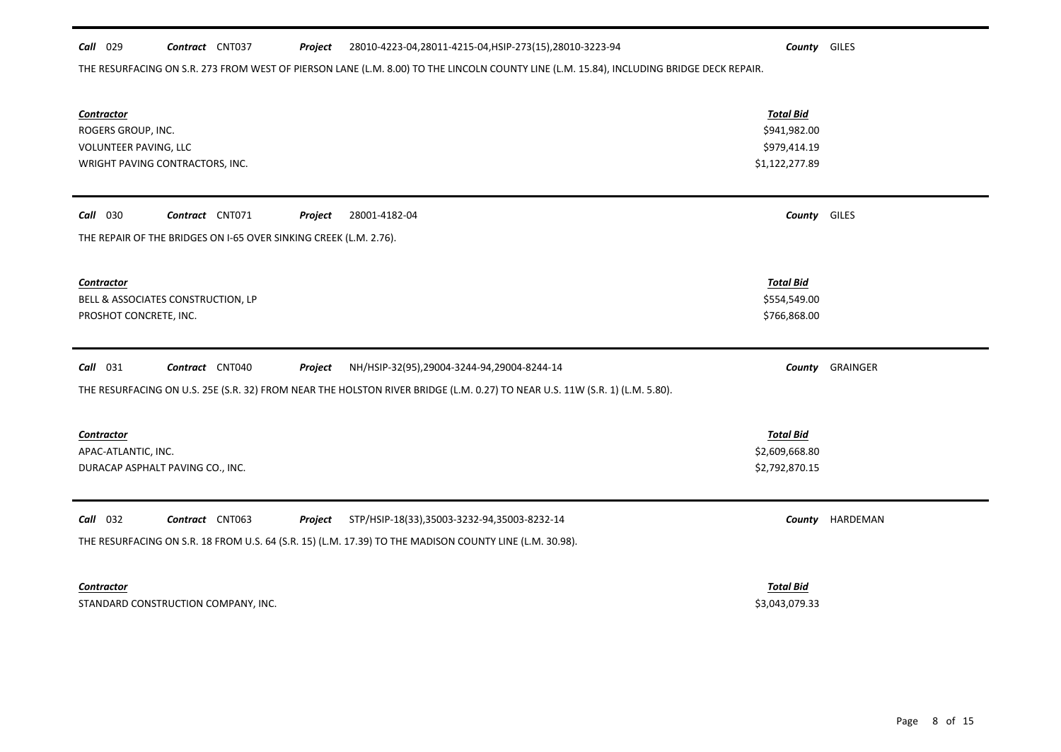## *Call* 029 *Contract* CNT037 *Project County* GILES 28010-4223-04,28011-4215-04,HSIP-273(15),28010-3223-94

# THE RESURFACING ON S.R. 273 FROM WEST OF PIERSON LANE (L.M. 8.00) TO THE LINCOLN COUNTY LINE (L.M. 15.84), INCLUDING BRIDGE DECK REPAIR.

| Contractor<br>ROGERS GROUP, INC.<br>VOLUNTEER PAVING, LLC<br>WRIGHT PAVING CONTRACTORS, INC.                                | <b>Total Bid</b><br>\$941,982.00<br>\$979,414.19<br>\$1,122,277.89 |          |
|-----------------------------------------------------------------------------------------------------------------------------|--------------------------------------------------------------------|----------|
| Contract CNT071<br><b>Call</b> 030<br>Project<br>28001-4182-04                                                              | <b>County</b> GILES                                                |          |
| THE REPAIR OF THE BRIDGES ON I-65 OVER SINKING CREEK (L.M. 2.76).                                                           |                                                                    |          |
| Contractor<br>BELL & ASSOCIATES CONSTRUCTION, LP<br>PROSHOT CONCRETE, INC.                                                  | <b>Total Bid</b><br>\$554,549.00<br>\$766,868.00                   |          |
|                                                                                                                             |                                                                    |          |
| <b>Call</b> 031<br>Contract CNT040<br>Project<br>NH/HSIP-32(95),29004-3244-94,29004-8244-14                                 | County                                                             | GRAINGER |
| THE RESURFACING ON U.S. 25E (S.R. 32) FROM NEAR THE HOLSTON RIVER BRIDGE (L.M. 0.27) TO NEAR U.S. 11W (S.R. 1) (L.M. 5.80). |                                                                    |          |
| <b>Contractor</b><br>APAC-ATLANTIC, INC.<br>DURACAP ASPHALT PAVING CO., INC.                                                | <b>Total Bid</b><br>\$2,609,668.80<br>\$2,792,870.15               |          |
| $Call$ 032<br>Contract CNT063<br>Project<br>STP/HSIP-18(33),35003-3232-94,35003-8232-14                                     | County                                                             | HARDEMAN |
| THE RESURFACING ON S.R. 18 FROM U.S. 64 (S.R. 15) (L.M. 17.39) TO THE MADISON COUNTY LINE (L.M. 30.98).                     |                                                                    |          |

STANDARD CONSTRUCTION COMPANY, INC. **STANDARD CONSTRUCTION COMPANY, INC.** SALE And the state of the state of the state of the state of the state of the state of the state of the state of the state of the state of the state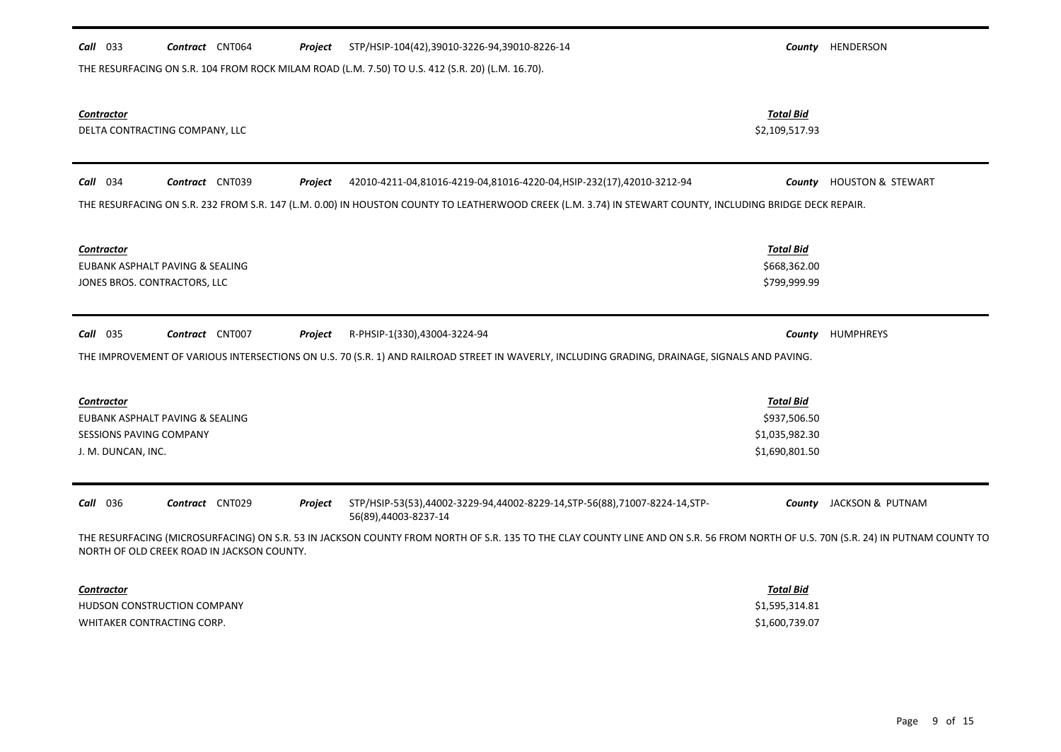| $Call$ 033                                                         | Contract CNT064                                                 | Project | STP/HSIP-104(42),39010-3226-94,39010-8226-14                                                                                                                                     |                                                                      | County HENDERSON                |
|--------------------------------------------------------------------|-----------------------------------------------------------------|---------|----------------------------------------------------------------------------------------------------------------------------------------------------------------------------------|----------------------------------------------------------------------|---------------------------------|
|                                                                    |                                                                 |         | THE RESURFACING ON S.R. 104 FROM ROCK MILAM ROAD (L.M. 7.50) TO U.S. 412 (S.R. 20) (L.M. 16.70).                                                                                 |                                                                      |                                 |
| <b>Contractor</b>                                                  | DELTA CONTRACTING COMPANY, LLC                                  |         |                                                                                                                                                                                  | <b>Total Bid</b><br>\$2,109,517.93                                   |                                 |
| $Call$ 034                                                         | Contract CNT039                                                 | Project | 42010-4211-04,81016-4219-04,81016-4220-04,HSIP-232(17),42010-3212-94                                                                                                             |                                                                      | <b>County</b> HOUSTON & STEWART |
|                                                                    |                                                                 |         | THE RESURFACING ON S.R. 232 FROM S.R. 147 (L.M. 0.00) IN HOUSTON COUNTY TO LEATHERWOOD CREEK (L.M. 3.74) IN STEWART COUNTY, INCLUDING BRIDGE DECK REPAIR.                        |                                                                      |                                 |
| <b>Contractor</b>                                                  | EUBANK ASPHALT PAVING & SEALING<br>JONES BROS. CONTRACTORS, LLC |         |                                                                                                                                                                                  | <b>Total Bid</b><br>\$668,362.00<br>\$799,999.99                     |                                 |
| $Call$ 035                                                         | Contract CNT007                                                 | Project | R-PHSIP-1(330),43004-3224-94                                                                                                                                                     |                                                                      | County HUMPHREYS                |
|                                                                    |                                                                 |         | THE IMPROVEMENT OF VARIOUS INTERSECTIONS ON U.S. 70 (S.R. 1) AND RAILROAD STREET IN WAVERLY, INCLUDING GRADING, DRAINAGE, SIGNALS AND PAVING.                                    |                                                                      |                                 |
| <b>Contractor</b><br>SESSIONS PAVING COMPANY<br>J. M. DUNCAN, INC. | EUBANK ASPHALT PAVING & SEALING                                 |         |                                                                                                                                                                                  | <b>Total Bid</b><br>\$937,506.50<br>\$1,035,982.30<br>\$1,690,801.50 |                                 |
| <b>Call</b> 036                                                    | Contract CNT029                                                 | Project | STP/HSIP-53(53),44002-3229-94,44002-8229-14,STP-56(88),71007-8224-14,STP-<br>56(89),44003-8237-14                                                                                |                                                                      | <b>County</b> JACKSON & PUTNAM  |
|                                                                    | NORTH OF OLD CREEK ROAD IN JACKSON COUNTY.                      |         | THE RESURFACING (MICROSURFACING) ON S.R. 53 IN JACKSON COUNTY FROM NORTH OF S.R. 135 TO THE CLAY COUNTY LINE AND ON S.R. 56 FROM NORTH OF U.S. 70N (S.R. 24) IN PUTNAM COUNTY TO |                                                                      |                                 |
| <b>Contractor</b>                                                  | HUDSON CONSTRUCTION COMPANY<br>WHITAKER CONTRACTING CORP.       |         |                                                                                                                                                                                  | <b>Total Bid</b><br>\$1,595,314.81<br>\$1,600,739.07                 |                                 |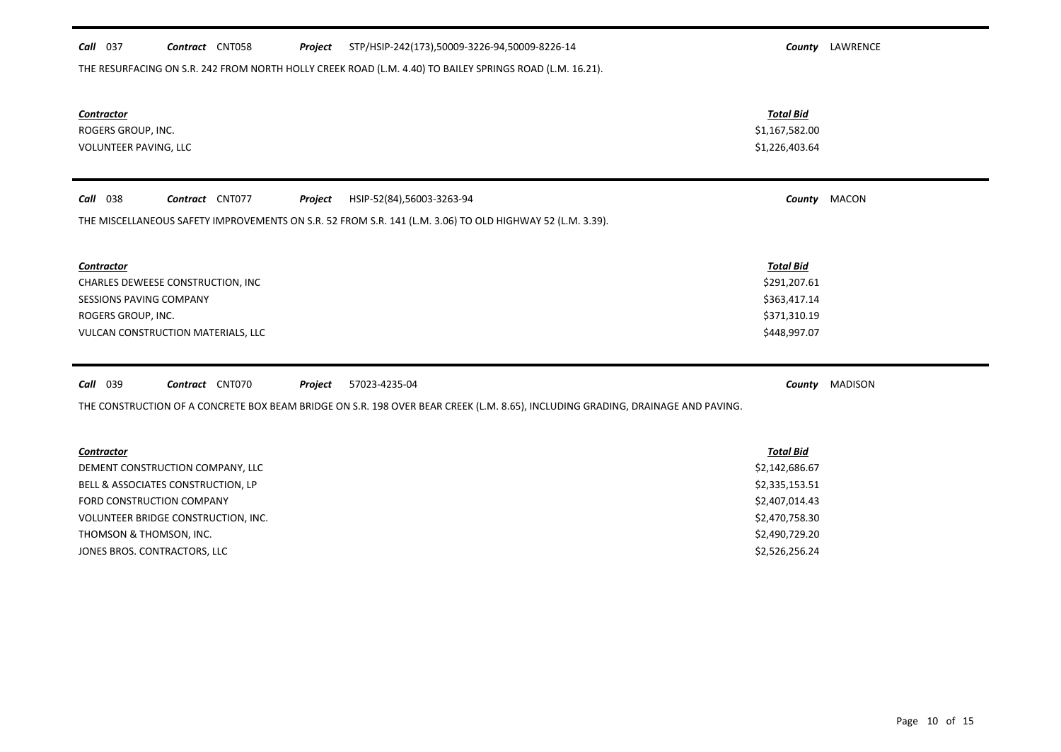| Call 037<br>Contract CNT058<br>Project                                                                    | STP/HSIP-242(173),50009-3226-94,50009-8226-14                                                                                   | County LAWRENCE |
|-----------------------------------------------------------------------------------------------------------|---------------------------------------------------------------------------------------------------------------------------------|-----------------|
| THE RESURFACING ON S.R. 242 FROM NORTH HOLLY CREEK ROAD (L.M. 4.40) TO BAILEY SPRINGS ROAD (L.M. 16.21).  |                                                                                                                                 |                 |
|                                                                                                           |                                                                                                                                 |                 |
| <b>Contractor</b>                                                                                         | <b>Total Bid</b>                                                                                                                |                 |
| ROGERS GROUP, INC.                                                                                        | \$1,167,582.00                                                                                                                  |                 |
| VOLUNTEER PAVING, LLC                                                                                     | \$1,226,403.64                                                                                                                  |                 |
|                                                                                                           |                                                                                                                                 |                 |
| <b>Call</b> 038<br>Contract CNT077<br>Project                                                             | HSIP-52(84),56003-3263-94                                                                                                       | County MACON    |
|                                                                                                           |                                                                                                                                 |                 |
| THE MISCELLANEOUS SAFETY IMPROVEMENTS ON S.R. 52 FROM S.R. 141 (L.M. 3.06) TO OLD HIGHWAY 52 (L.M. 3.39). |                                                                                                                                 |                 |
|                                                                                                           |                                                                                                                                 |                 |
| Contractor                                                                                                | <b>Total Bid</b>                                                                                                                |                 |
| CHARLES DEWEESE CONSTRUCTION, INC                                                                         | \$291,207.61                                                                                                                    |                 |
| <b>SESSIONS PAVING COMPANY</b>                                                                            | \$363,417.14                                                                                                                    |                 |
| ROGERS GROUP, INC.                                                                                        | \$371,310.19                                                                                                                    |                 |
| VULCAN CONSTRUCTION MATERIALS, LLC                                                                        | \$448,997.07                                                                                                                    |                 |
|                                                                                                           |                                                                                                                                 |                 |
| <b>Call</b> 039<br>Contract CNT070<br>Project<br>57023-4235-04                                            |                                                                                                                                 | County MADISON  |
|                                                                                                           | THE CONSTRUCTION OF A CONCRETE BOX BEAM BRIDGE ON S.R. 198 OVER BEAR CREEK (L.M. 8.65), INCLUDING GRADING, DRAINAGE AND PAVING. |                 |
|                                                                                                           |                                                                                                                                 |                 |
| Contractor                                                                                                | <b>Total Bid</b>                                                                                                                |                 |
| DEMENT CONSTRUCTION COMPANY, LLC                                                                          | \$2,142,686.67                                                                                                                  |                 |
| BELL & ASSOCIATES CONSTRUCTION, LP                                                                        | \$2,335,153.51                                                                                                                  |                 |
| FORD CONSTRUCTION COMPANY                                                                                 | \$2,407,014.43                                                                                                                  |                 |
| VOLUNTEER BRIDGE CONSTRUCTION, INC.                                                                       | \$2,470,758.30                                                                                                                  |                 |
| THOMSON & THOMSON, INC.                                                                                   | \$2,490,729.20                                                                                                                  |                 |
| JONES BROS. CONTRACTORS, LLC                                                                              | \$2,526,256.24                                                                                                                  |                 |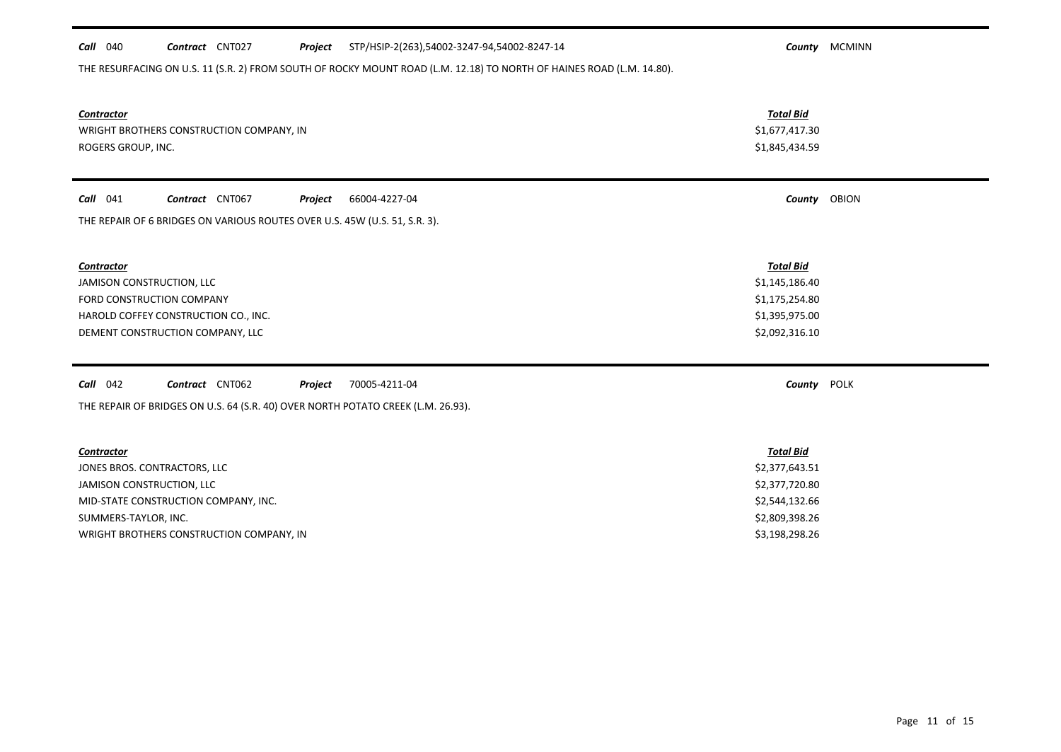| $Call$ 040                           | Contract CNT027                                                            | Project        | STP/HSIP-2(263),54002-3247-94,54002-8247-14                                                                           |                  | County MCMINN |
|--------------------------------------|----------------------------------------------------------------------------|----------------|-----------------------------------------------------------------------------------------------------------------------|------------------|---------------|
|                                      |                                                                            |                | THE RESURFACING ON U.S. 11 (S.R. 2) FROM SOUTH OF ROCKY MOUNT ROAD (L.M. 12.18) TO NORTH OF HAINES ROAD (L.M. 14.80). |                  |               |
|                                      |                                                                            |                |                                                                                                                       |                  |               |
| <b>Contractor</b>                    |                                                                            |                |                                                                                                                       | <b>Total Bid</b> |               |
|                                      | WRIGHT BROTHERS CONSTRUCTION COMPANY, IN                                   |                |                                                                                                                       | \$1,677,417.30   |               |
| ROGERS GROUP, INC.                   |                                                                            |                |                                                                                                                       | \$1,845,434.59   |               |
|                                      |                                                                            |                |                                                                                                                       |                  |               |
| $Call$ 041                           | Contract CNT067                                                            | Project        | 66004-4227-04                                                                                                         |                  | County OBION  |
|                                      | THE REPAIR OF 6 BRIDGES ON VARIOUS ROUTES OVER U.S. 45W (U.S. 51, S.R. 3). |                |                                                                                                                       |                  |               |
|                                      |                                                                            |                |                                                                                                                       |                  |               |
|                                      |                                                                            |                |                                                                                                                       |                  |               |
| <b>Contractor</b>                    |                                                                            |                |                                                                                                                       | <b>Total Bid</b> |               |
| JAMISON CONSTRUCTION, LLC            |                                                                            | \$1,145,186.40 |                                                                                                                       |                  |               |
| FORD CONSTRUCTION COMPANY            |                                                                            |                |                                                                                                                       | \$1,175,254.80   |               |
| HAROLD COFFEY CONSTRUCTION CO., INC. |                                                                            |                |                                                                                                                       | \$1,395,975.00   |               |
|                                      | DEMENT CONSTRUCTION COMPANY, LLC                                           |                |                                                                                                                       | \$2,092,316.10   |               |
|                                      |                                                                            |                |                                                                                                                       |                  |               |
| <b>Call</b> 042                      | Contract CNT062                                                            | Project        | 70005-4211-04                                                                                                         | County POLK      |               |
|                                      |                                                                            |                | THE REPAIR OF BRIDGES ON U.S. 64 (S.R. 40) OVER NORTH POTATO CREEK (L.M. 26.93).                                      |                  |               |
|                                      |                                                                            |                |                                                                                                                       |                  |               |
| <b>Contractor</b>                    |                                                                            |                |                                                                                                                       | <b>Total Bid</b> |               |
|                                      | JONES BROS. CONTRACTORS, LLC                                               |                |                                                                                                                       | \$2,377,643.51   |               |
| JAMISON CONSTRUCTION, LLC            |                                                                            |                |                                                                                                                       | \$2,377,720.80   |               |
|                                      | MID-STATE CONSTRUCTION COMPANY, INC.                                       |                |                                                                                                                       | \$2,544,132.66   |               |
| SUMMERS-TAYLOR, INC.                 |                                                                            |                |                                                                                                                       | \$2,809,398.26   |               |
|                                      | WRIGHT BROTHERS CONSTRUCTION COMPANY, IN                                   |                |                                                                                                                       | \$3,198,298.26   |               |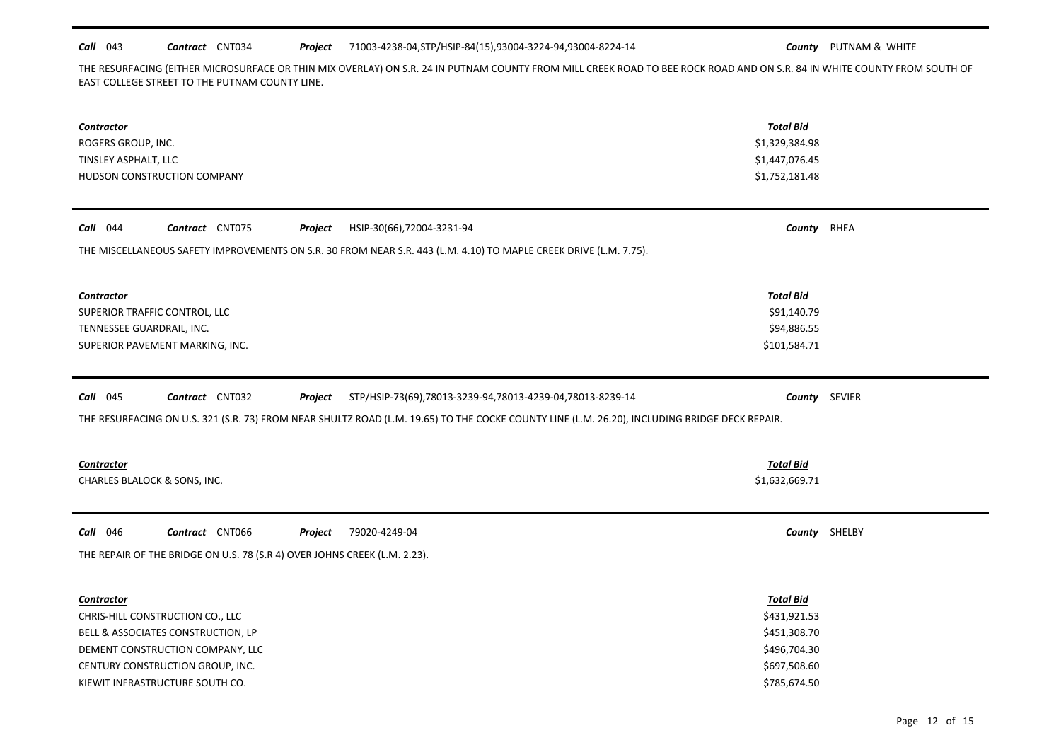### *Call* 043 *Contract* CNT034 *Project County* PUTNAM & WHITE 71003-4238-04,STP/HSIP-84(15),93004-3224-94,93004-8224-14

THE RESURFACING (EITHER MICROSURFACE OR THIN MIX OVERLAY) ON S.R. 24 IN PUTNAM COUNTY FROM MILL CREEK ROAD TO BEE ROCK ROAD AND ON S.R. 84 IN WHITE COUNTY FROM SOUTH OF EAST COLLEGE STREET TO THE PUTNAM COUNTY LINE.

| <b>Contractor</b><br>ROGERS GROUP, INC.<br>TINSLEY ASPHALT, LLC<br>HUDSON CONSTRUCTION COMPANY                     | <b>Total Bid</b><br>\$1,329,384.98<br>\$1,447,076.45<br>\$1,752,181.48                                                                        |               |  |  |  |
|--------------------------------------------------------------------------------------------------------------------|-----------------------------------------------------------------------------------------------------------------------------------------------|---------------|--|--|--|
| <b>Call</b> 044<br>Contract CNT075<br>Project<br>HSIP-30(66),72004-3231-94                                         | County RHEA                                                                                                                                   |               |  |  |  |
| THE MISCELLANEOUS SAFETY IMPROVEMENTS ON S.R. 30 FROM NEAR S.R. 443 (L.M. 4.10) TO MAPLE CREEK DRIVE (L.M. 7.75).  |                                                                                                                                               |               |  |  |  |
| <b>Contractor</b><br>SUPERIOR TRAFFIC CONTROL, LLC<br>TENNESSEE GUARDRAIL, INC.<br>SUPERIOR PAVEMENT MARKING, INC. | <b>Total Bid</b><br>\$91,140.79<br>\$94,886.55<br>\$101,584.71                                                                                |               |  |  |  |
| Call 045<br>Contract CNT032<br>STP/HSIP-73(69),78013-3239-94,78013-4239-04,78013-8239-14<br>Project                |                                                                                                                                               | County SEVIER |  |  |  |
|                                                                                                                    | THE RESURFACING ON U.S. 321 (S.R. 73) FROM NEAR SHULTZ ROAD (L.M. 19.65) TO THE COCKE COUNTY LINE (L.M. 26.20), INCLUDING BRIDGE DECK REPAIR. |               |  |  |  |
| <b>Contractor</b><br>CHARLES BLALOCK & SONS, INC.                                                                  | <b>Total Bid</b><br>\$1,632,669.71                                                                                                            |               |  |  |  |
| <b>Call</b> 046<br>Contract CNT066<br>Project<br>79020-4249-04                                                     |                                                                                                                                               | County SHELBY |  |  |  |
| THE REPAIR OF THE BRIDGE ON U.S. 78 (S.R 4) OVER JOHNS CREEK (L.M. 2.23).                                          |                                                                                                                                               |               |  |  |  |
|                                                                                                                    |                                                                                                                                               |               |  |  |  |
| <b>Contractor</b><br>CHRIS-HILL CONSTRUCTION CO., LLC                                                              | <b>Total Bid</b><br>\$431,921.53                                                                                                              |               |  |  |  |
| BELL & ASSOCIATES CONSTRUCTION, LP                                                                                 | \$451,308.70                                                                                                                                  |               |  |  |  |
| DEMENT CONSTRUCTION COMPANY, LLC                                                                                   | \$496,704.30                                                                                                                                  |               |  |  |  |
| CENTURY CONSTRUCTION GROUP, INC.                                                                                   | \$697,508.60                                                                                                                                  |               |  |  |  |
| KIEWIT INFRASTRUCTURE SOUTH CO.                                                                                    | \$785,674.50                                                                                                                                  |               |  |  |  |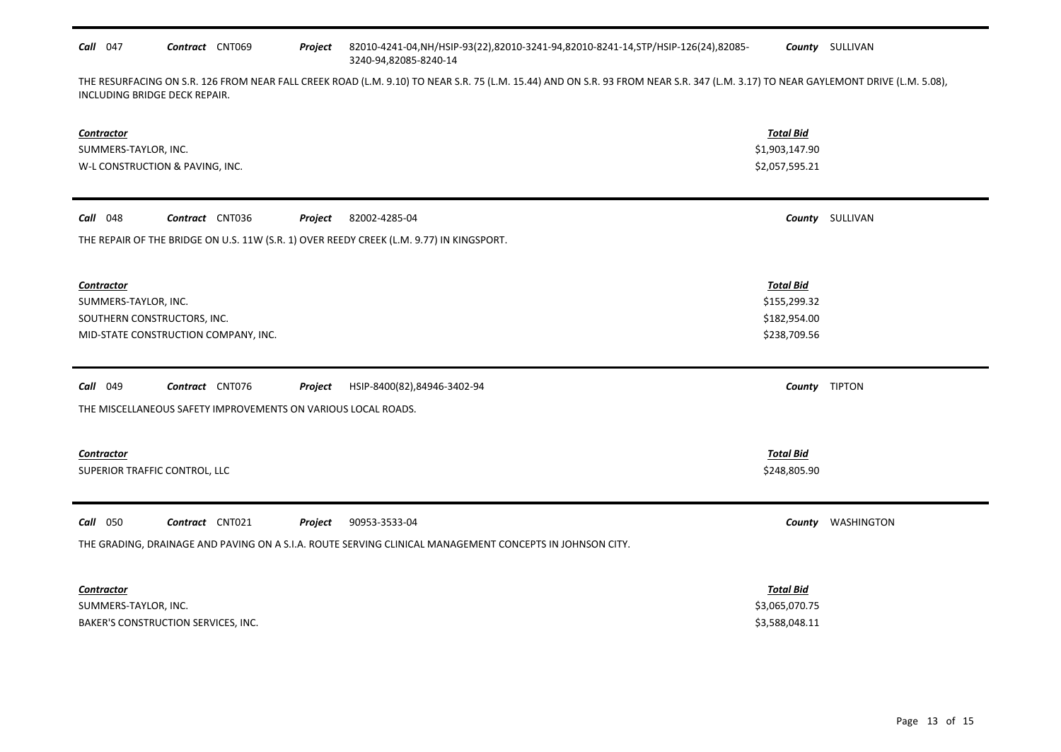| <b>Call</b> 047 | Contract | CNT069 | Proiect | 82010-4241-04,NH/HSIP-93(22),82010-3241-94,82010-8241-14,STP/HSIP-126(24),82085- | <b>County</b> SULLIVAN |
|-----------------|----------|--------|---------|----------------------------------------------------------------------------------|------------------------|
|                 |          |        |         | 3240-94.82085-8240-14                                                            |                        |

THE RESURFACING ON S.R. 126 FROM NEAR FALL CREEK ROAD (L.M. 9.10) TO NEAR S.R. 75 (L.M. 15.44) AND ON S.R. 93 FROM NEAR S.R. 347 (L.M. 3.17) TO NEAR GAYLEMONT DRIVE (L.M. 5.08), INCLUDING BRIDGE DECK REPAIR.

| Contractor<br>SUMMERS-TAYLOR, INC.<br>W-L CONSTRUCTION & PAVING, INC.                                                                                               | <b>Total Bid</b><br>\$1,903,147.90<br>\$2,057,595.21             |                   |
|---------------------------------------------------------------------------------------------------------------------------------------------------------------------|------------------------------------------------------------------|-------------------|
| <b>Call</b> 048<br>Contract CNT036<br>Project<br>82002-4285-04<br>THE REPAIR OF THE BRIDGE ON U.S. 11W (S.R. 1) OVER REEDY CREEK (L.M. 9.77) IN KINGSPORT.          |                                                                  | County SULLIVAN   |
| Contractor<br>SUMMERS-TAYLOR, INC.<br>SOUTHERN CONSTRUCTORS, INC.<br>MID-STATE CONSTRUCTION COMPANY, INC.                                                           | <b>Total Bid</b><br>\$155,299.32<br>\$182,954.00<br>\$238,709.56 |                   |
| <b>Call</b> 049<br>Contract CNT076<br>Project<br>HSIP-8400(82),84946-3402-94<br>THE MISCELLANEOUS SAFETY IMPROVEMENTS ON VARIOUS LOCAL ROADS.                       |                                                                  | County TIPTON     |
| Contractor<br>SUPERIOR TRAFFIC CONTROL, LLC                                                                                                                         | <b>Total Bid</b><br>\$248,805.90                                 |                   |
| Call 050<br>Contract CNT021<br>90953-3533-04<br>Project<br>THE GRADING, DRAINAGE AND PAVING ON A S.I.A. ROUTE SERVING CLINICAL MANAGEMENT CONCEPTS IN JOHNSON CITY. |                                                                  | County WASHINGTON |
| <b>Contractor</b><br>SUMMERS-TAYLOR, INC.<br>BAKER'S CONSTRUCTION SERVICES, INC.                                                                                    | <b>Total Bid</b><br>\$3,065,070.75<br>\$3,588,048.11             |                   |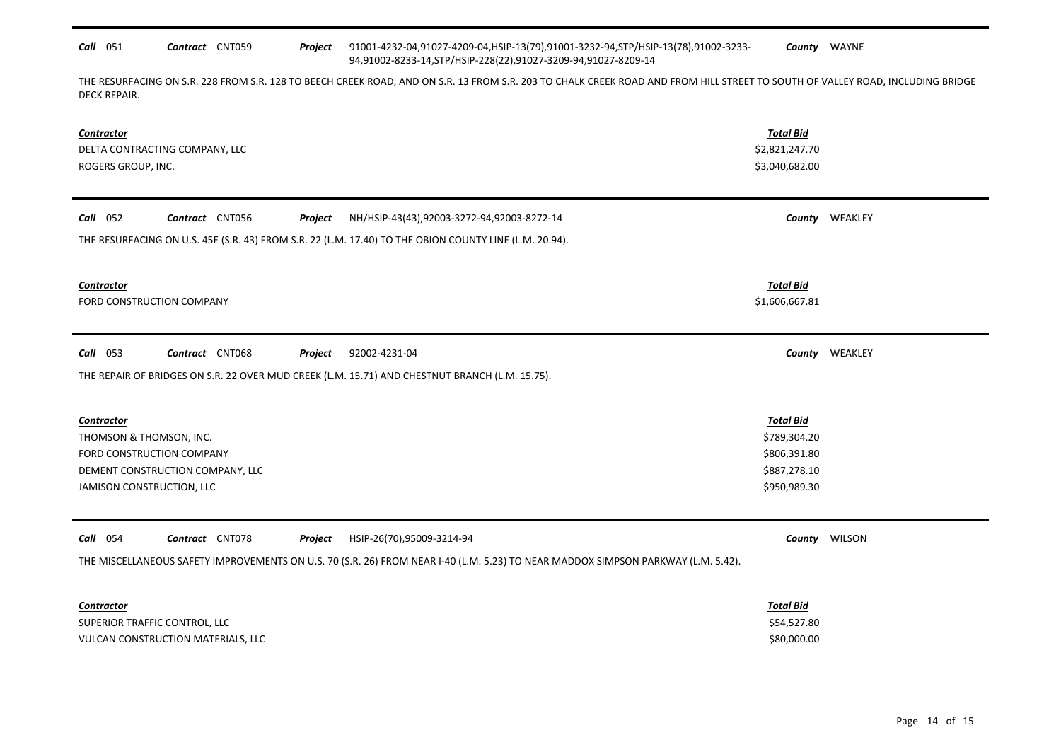## *Call* 051 *Contract* CNT059 *Project County* WAYNE 91001-4232-04,91027-4209-04,HSIP-13(79),91001-3232-94,STP/HSIP-13(78),91002-3233- 94,91002-8233-14,STP/HSIP-228(22),91027-3209-94,91027-8209-14

THE RESURFACING ON S.R. 228 FROM S.R. 128 TO BEECH CREEK ROAD, AND ON S.R. 13 FROM S.R. 203 TO CHALK CREEK ROAD AND FROM HILL STREET TO SOUTH OF VALLEY ROAD, INCLUDING BRIDGE DECK REPAIR.

| <b>Contractor</b><br>DELTA CONTRACTING COMPANY, LLC<br>ROGERS GROUP, INC.                                                         | <b>Total Bid</b><br>\$2,821,247.70<br>\$3,040,682.00 |               |
|-----------------------------------------------------------------------------------------------------------------------------------|------------------------------------------------------|---------------|
| Call 052<br>Contract CNT056<br>Project<br>NH/HSIP-43(43),92003-3272-94,92003-8272-14                                              | County                                               | WEAKLEY       |
| THE RESURFACING ON U.S. 45E (S.R. 43) FROM S.R. 22 (L.M. 17.40) TO THE OBION COUNTY LINE (L.M. 20.94).                            |                                                      |               |
| <b>Contractor</b>                                                                                                                 | <b>Total Bid</b>                                     |               |
| FORD CONSTRUCTION COMPANY                                                                                                         | \$1,606,667.81                                       |               |
| 92002-4231-04<br>$Call$ 053<br>Contract CNT068<br>Project                                                                         | County                                               | WEAKLEY       |
| THE REPAIR OF BRIDGES ON S.R. 22 OVER MUD CREEK (L.M. 15.71) AND CHESTNUT BRANCH (L.M. 15.75).                                    |                                                      |               |
| <b>Contractor</b>                                                                                                                 | <b>Total Bid</b>                                     |               |
| THOMSON & THOMSON, INC.                                                                                                           | \$789,304.20                                         |               |
| FORD CONSTRUCTION COMPANY                                                                                                         | \$806,391.80                                         |               |
| DEMENT CONSTRUCTION COMPANY, LLC                                                                                                  | \$887,278.10                                         |               |
| JAMISON CONSTRUCTION, LLC                                                                                                         | \$950,989.30                                         |               |
| Call 054<br>Contract CNT078<br>Project<br>HSIP-26(70),95009-3214-94                                                               |                                                      | County WILSON |
| THE MISCELLANEOUS SAFETY IMPROVEMENTS ON U.S. 70 (S.R. 26) FROM NEAR I-40 (L.M. 5.23) TO NEAR MADDOX SIMPSON PARKWAY (L.M. 5.42). |                                                      |               |
| Contractor                                                                                                                        | <b>Total Bid</b>                                     |               |
| SUPERIOR TRAFFIC CONTROL, LLC                                                                                                     | \$54,527.80                                          |               |

VULCAN CONSTRUCTION MATERIALS, LLC \$80,000.00